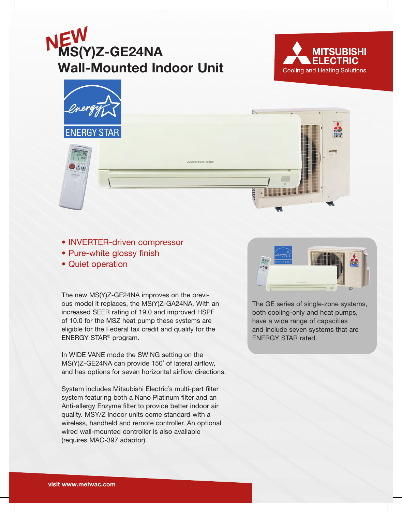





- INVERTER-driven compressor
- Pure-white glossy finish
- Quiet operation

The new MS(Y)Z-GE24NA improves on the previous model it replaces, the MS(Y)Z-GA24NA. With an increased SEER rating of 19.0 and improved HSPF of 10.0 for the MSZ heat pump these systems are eligible for the Federal tax credit and qualify for the ENERGY STAR® program.

In WIDE VANE mode the SWING setting on the MS(Y)Z-GE24NA can provide 150˚ of lateral airflow, and has options for seven horizontal airflow directions.

System includes Mitsubishi Electric's multi-part filter system featuring both a Nano Platinum filter and an Anti-allergy Enzyme filter to provide better indoor air quality. MSY/Z indoor units come standard with a wireless, handheld and remote controller. An optional wired wall-mounted controller is also available (requires MAC-397 adaptor).



The GE series of single-zone systems, both cooling-only and heat pumps, have a wide range of capacities and include seven systems that are ENERGY STAR rated.